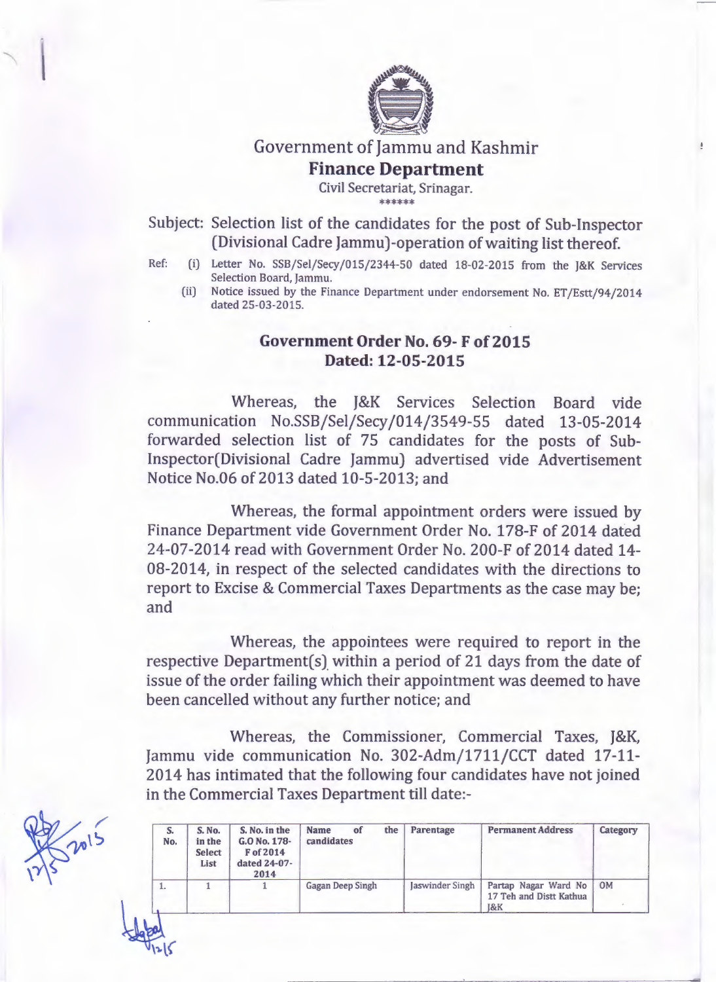

## Government of Jammu and Kashmir **Finance Department**

 $\pm$ 

Civil Secretariat, Srinagar. \*\*\*\*\*\*

Subject: Selection list of the candidates for the post of Sub-Inspector (Divisional Cadre Jammu)-operation of waiting list thereof.

- Ref: (i) Letter No. SSB/Sel/Secy/015/2344-50 dated 18-02-2015 from the J&K Services Selection Board, Jammu.
	- (ii) Notice issued by the Finance Department under endorsement No. ET/Estt/94/2014 dated 25-03-2015.

## Government Order No. 69- F of 2015 Dated: 12-05-2015

Whereas, the J&K Services Selection Board vide communication No.SSB/Sel/Secy/014/3549-55 dated 13-05-2014 forwarded selection list of 75 candidates for the posts of Sub-Inspector(Divisional Cadre Jammu) advertised vide Advertisement Notice No.06 of 2013 dated 10-5-2013; and

Whereas, the formal appointment orders were issued by Finance Department vide Government Order No. 17S-F of 2014 dated 24-07-2014 read with Government Order No. 200-F of 2014 dated 14- OS-2014, in respect of the selected candidates with the directions to report to Excise & Commercial Taxes Departments as the case may be; and

Whereas, the appointees were required to report in the respective Department(s) within a period of 21 days from the date of issue of the order failing which their appointment was deemed to have been cancelled without any further notice; and

Whereas, the Commissioner, Commercial Taxes, *J&K,* Jammu vide communication No. 302-Adm/1711/CCT dated 17-11- 2014 has intimated that the following four candidates have not joined in the Commercial Taxes Department till date:-

| S.<br>No. | <b>S. No.</b><br>in the<br><b>Select</b><br>List | S. No. in the<br>G.O No. 178-<br>F of 2014<br>dated 24-07-<br>2014 | <b>Name</b><br>the<br>of<br>candidates | Parentage       | <b>Permanent Address</b>                              | Category |
|-----------|--------------------------------------------------|--------------------------------------------------------------------|----------------------------------------|-----------------|-------------------------------------------------------|----------|
| л.        |                                                  |                                                                    | <b>Gagan Deep Singh</b>                | Jaswinder Singh | Partap Nagar Ward No<br>17 Teh and Distt Kathua<br>8K | OM       |

~~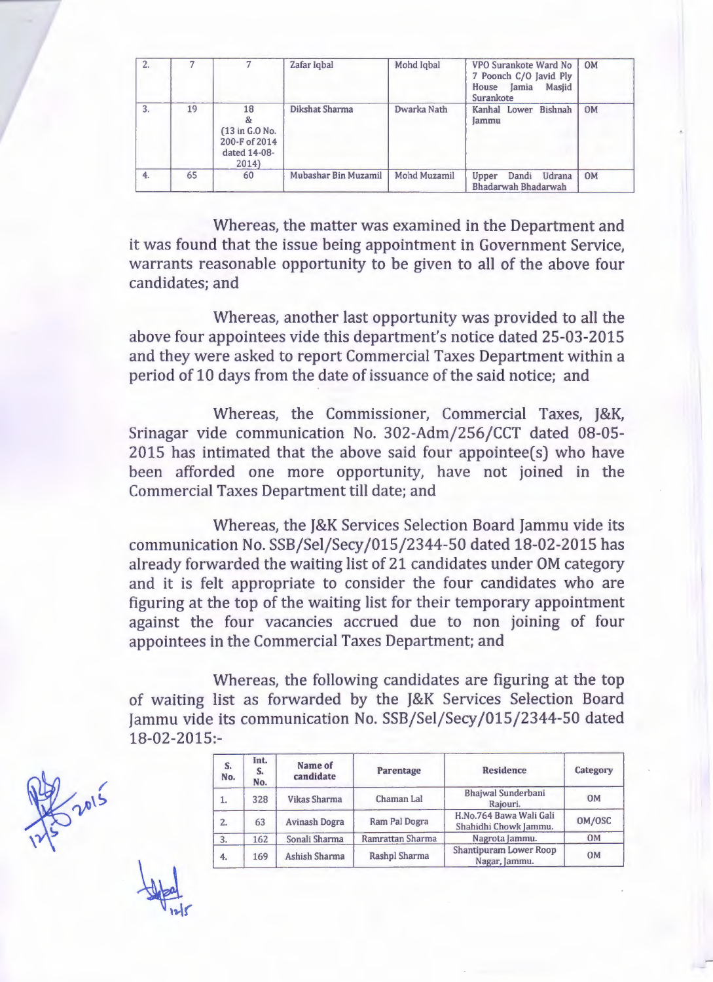| 2. |    |                                                               | Zafar Iqbal          | Mohd Iqbal   | VPO Surankote Ward No<br>7 Poonch C/O Javid Ply<br>Jamia<br>House<br>Masjid<br>Surankote | <b>OM</b> |
|----|----|---------------------------------------------------------------|----------------------|--------------|------------------------------------------------------------------------------------------|-----------|
| 3. | 19 | 18<br>(13 in G.O No.<br>200-F of 2014<br>dated 14-08-<br>2014 | Dikshat Sharma       | Dwarka Nath  | Kanhal Lower<br><b>Bishnah</b><br><b>Jammu</b>                                           | <b>OM</b> |
| 4. | 65 | 60                                                            | Mubashar Bin Muzamil | Mohd Muzamil | Dandi<br>Udrana<br>Upper<br>Bhadarwah Bhadarwah                                          | <b>OM</b> |

Whereas, the matter was examined in the Department and it was found that the issue being appointment in Government Service, warrants reasonable opportunity to be given to all of the above four candidates; and

Whereas, another last opportunity was provided to all the above four appointees vide this department's notice dated 25-03-2015 and they were asked to report Commercial Taxes Department within a period of 10 days from the date of issuance of the said notice; and

Whereas, the Commissioner, Commercial Taxes, *J&K,* Srinagar vide communication No. 302-Adm/256/CCT dated 08-05- 2015 has intimated that the above said four appointee(s) who have been afforded one more opportunity, have not joined in the Commercial Taxes Department till date; and

Whereas, the J&K Services Selection Board Jammu vide its communication No. SSB/Sel/Secy /015/2344-50 dated 18-02-2015 has already forwarded the waiting list of 21 candidates under OM category and it is felt appropriate to consider the four candidates who are figuring at the top of the waiting list for their temporary appointment against the four vacancies accrued due to non joining of four appointees in the Commercial Taxes Department; and

Whereas, the following candidates are figuring at the top of waiting list as forwarded by the J&K Services Selection Board Jammu vide its communication No. SSB/Sel/Secy /015/2344-50 dated 18-02-2015:-

| S.<br>No. | Int.<br>S.<br>No. | Name of<br>candidate | Parentage        | <b>Residence</b>                                 | Category  |
|-----------|-------------------|----------------------|------------------|--------------------------------------------------|-----------|
| 1.        | 328               | <b>Vikas Sharma</b>  | Chaman Lal       | <b>Bhajwal Sunderbani</b><br>Rajouri.            | <b>OM</b> |
| 2.        | 63                | <b>Avinash Dogra</b> | Ram Pal Dogra    | H.No.764 Bawa Wali Gali<br>Shahidhi Chowk Jammu. | OM/OSC    |
| 3.        | 162               | Sonali Sharma        | Ramrattan Sharma | Nagrota Jammu.                                   | <b>OM</b> |
| 4.        | 169               | Ashish Sharma        | Rashpl Sharma    | <b>Shantipuram Lower Roop</b><br>Nagar, Jammu.   | 0M        |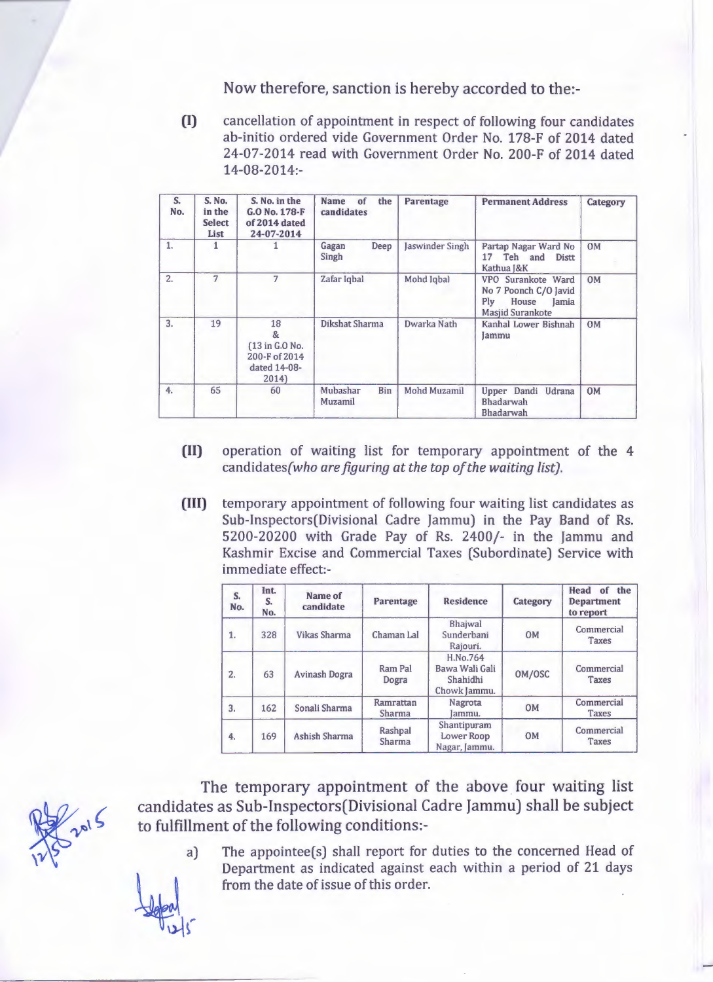Now therefore, sanction is hereby accorded to the:-

**(I)** cancellation of appointment in respect of following four candidates ab-initio ordered vide Government Order No. 17S-F of 2014 dated 24-07-2014 read with Government Order No. 200-F of 2014 dated 14-0S-2014:-

| S.<br>No. | S. No.<br>in the<br><b>Select</b><br>List | S. No. in the<br>G.O No. 178-F<br>of 2014 dated<br>24-07-2014      | of<br><b>Name</b><br>the<br>candidates                                                              | <b>Parentage</b>                                                                                       | <b>Permanent Address</b>                     | Category  |
|-----------|-------------------------------------------|--------------------------------------------------------------------|-----------------------------------------------------------------------------------------------------|--------------------------------------------------------------------------------------------------------|----------------------------------------------|-----------|
| 1.        |                                           |                                                                    | Deep<br>Jaswinder Singh<br>Partap Nagar Ward No<br>Gagan<br>Singh<br>17 Teh and Distt<br>Kathua J&K |                                                                                                        | <b>OM</b>                                    |           |
| 2.        | 7                                         | 7                                                                  | Zafar Iqbal                                                                                         | Mohd Iqbal<br>VPO Surankote Ward<br>No 7 Poonch C/O Javid<br>House<br>Plv<br>Jamia<br>Masjid Surankote |                                              | <b>OM</b> |
| 3.        | 19                                        | 18<br>&<br>(13 in G.O No.<br>200-F of 2014<br>dated 14-08-<br>2014 | Dikshat Sharma<br>Dwarka Nath                                                                       |                                                                                                        | Kanhal Lower Bishnah<br>Jammu                | <b>OM</b> |
| 4.        | 65                                        | 60                                                                 | Mubashar<br><b>Bin</b><br>Muzamil                                                                   | Mohd Muzamil                                                                                           | Upper Dandi Udrana<br>Bhadarwah<br>Bhadarwah | <b>OM</b> |

- **(II)** operation of waiting list for temporary appointment of the 4 candidates(who *arefiguring at the top of the waiting list).*
- **(III)** temporary appointment of following four waiting list candidates as Sub-Inspectors(Divisional Cadre Jammu) in the Pay Band of Rs. 5200-20200 with Grade Pay of Rs. 2400/- in the Jammu and Kashmir Excise and Commercial Taxes (Subordinate) Service with immediate effect:-

| S.<br>No.      | Int.<br>S.<br>No. | Name of<br>candidate | Parentage           | <b>Residence</b>                                       | Category  | Head of the<br><b>Department</b><br>to report |
|----------------|-------------------|----------------------|---------------------|--------------------------------------------------------|-----------|-----------------------------------------------|
| 1.             | 328               | <b>Vikas Sharma</b>  | Chaman Lal          | Bhajwal<br>Sunderbani<br>Rajouri.                      | <b>OM</b> | Commercial<br>Taxes                           |
| $\overline{2}$ | 63                | Avinash Dogra        | Ram Pal<br>Dogra    | H.No.764<br>Bawa Wali Gali<br>Shahidhi<br>Chowk Jammu. | OM/OSC    | Commercial<br><b>Taxes</b>                    |
| 3.             | 162               | Sonali Sharma        | Ramrattan<br>Sharma | Nagrota<br>lammu.                                      | <b>OM</b> | Commercial<br><b>Taxes</b>                    |
| 4.             | 169               | <b>Ashish Sharma</b> | Rashpal<br>Sharma   | Shantipuram<br><b>Lower Roop</b><br>Nagar, Jammu.      | <b>OM</b> | Commercial<br>Taxes                           |

The temporary appointment of the above four waiting list candidates as Sub-Inspectors(Divisional Cadre Jammu) shall be subject to fulfillment of the following conditions:-

> a) The appointee(s) shall report for duties to the concerned Head of Department as indicated against each within a period of 21 days from the date of issue of this order.

2015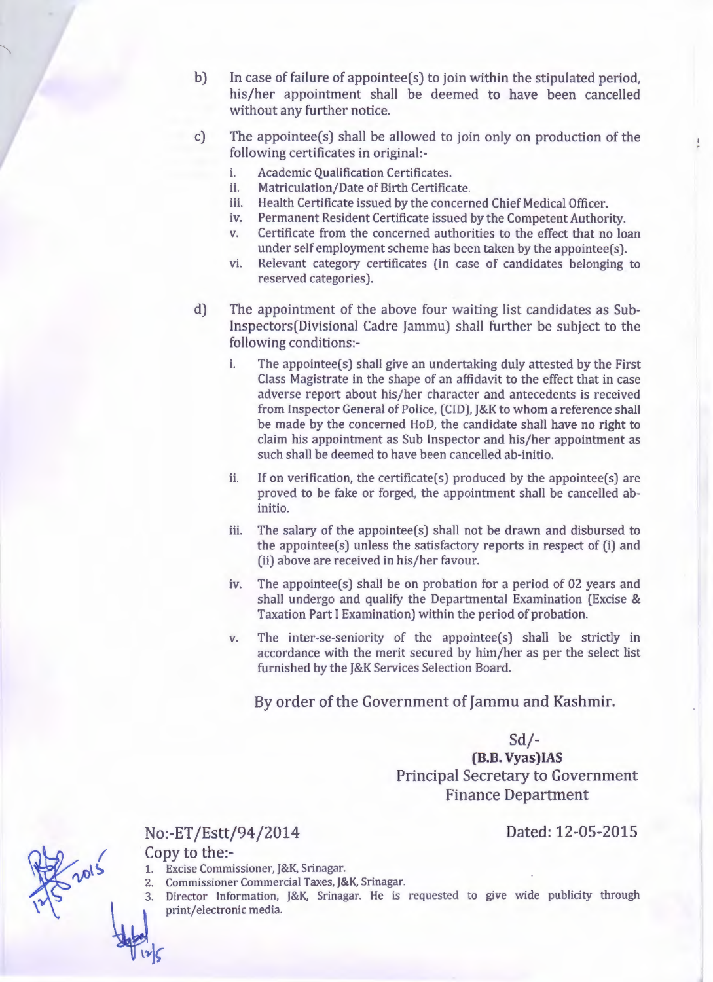- b) In case of failure of appointee(s) to join within the stipulated period, his/her appointment shall be deemed to have been cancelled without any further notice.
- c) The appointee(s) shall be allowed to join only on production of the following certificates in original:
	- i. Academic Qualification Certificates.
	- ii. Matriculation/Date of Birth Certificate.
	- iii. Health Certificate issued by the concerned Chief Medical Officer.
	- iv. Permanent Resident Certificate issued by the Competent Authority.
	- v. Certificate from the concerned authorities to the effect that no loan under self employment scheme has been taken by the appointee(s).
	- vi. Relevant category certificates (in case of candidates belonging to reserved categories).
- d) The appointment of the above four waiting list candidates as Sub-Inspectors(Divisional Cadre Jammu) shall further be subject to the following conditions:
	- i. The appointee(s) shall give an undertaking duly attested by the First Class Magistrate in the shape of an affidavit to the effect that in case adverse report about his/her character and antecedents is received from Inspector General of Police, (CIO), J&K to whom a reference shall be made by the concerned HoD, the candidate shall have no right to claim his appointment as Sub Inspector and his/her appointment as such shall be deemed to have been cancelled ab-initio.
	- ii. If on verification, the certificate(s) produced by the appointee(s) are proved to be fake or forged, the appointment shall be cancelled abinitio.
	- iii. The salary of the appointee(s) shall not be drawn and disbursed to the appointee(s) unless the satisfactory reports in respect of (i) and (ii) above are received in his/her favour.
	- iv. The appointee(s) shall be on probation for a period of 02 years and shall undergo and qualify the Departmental Examination (Excise & Taxation Part I Examination) within the period of probation.
	- v. The inter-se-seniority of the appointee(s) shall be strictly in accordance with the merit secured by him/her as per the select list furnished by the J&K Services Selection Board.

By order of the Government of Jammu and Kashmir.

## Sd/-

**(B.8. Vyas)IAS** Principal Secretary to Government Finance Department

## No:-ET /Estt/94/2014 Dated: 12-05-2015

Copy to the:-

- 1. Excise Commissioner, J&K, Srinagar.
- 2. Commissioner Commercial Taxes, J&K, Srinagar.
- 3. Director Information, J&K, Srinagar. He is requested to give wide publicity through print/electronic media.